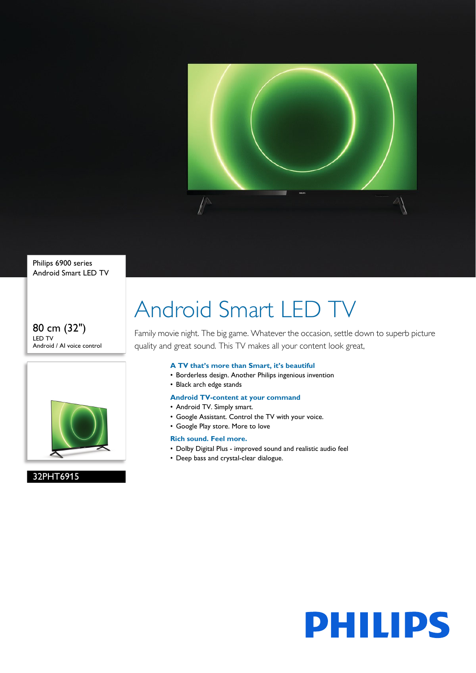

Philips 6900 series Android Smart LED TV

#### 80 cm (32") LED TV Android / AI voice control



#### 32PHT6915

## Android Smart LED TV

Family movie night. The big game. Whatever the occasion, settle down to superb picture quality and great sound. This TV makes all your content look great,

#### **A TV that's more than Smart, it's beautiful**

- Borderless design. Another Philips ingenious invention
- Black arch edge stands

#### **Android TV-content at your command**

- Android TV. Simply smart.
- Google Assistant. Control the TV with your voice.
- Google Play store. More to love

#### **Rich sound. Feel more.**

- Dolby Digital Plus improved sound and realistic audio feel
- Deep bass and crystal-clear dialogue.

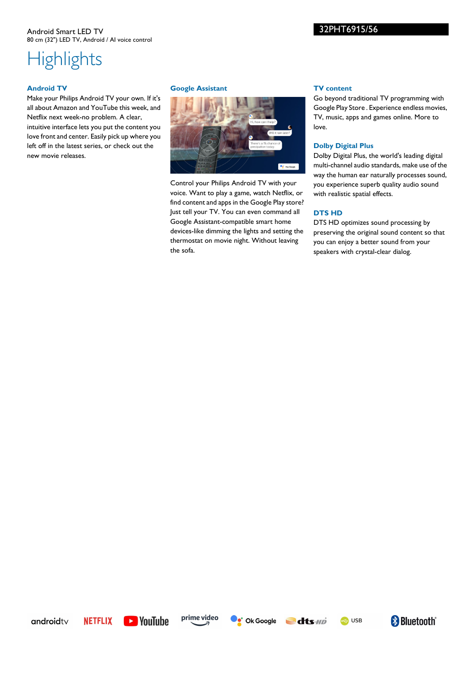# **Highlights**

#### **Android TV**

Make your Philips Android TV your own. If it's all about Amazon and YouTube this week, and Netflix next week-no problem. A clear, intuitive interface lets you put the content you love front and center. Easily pick up where you left off in the latest series, or check out the new movie releases.

#### **Google Assistant**



Control your Philips Android TV with your voice. Want to play a game, watch Netflix, or find content and apps in the Google Play store? Just tell your TV. You can even command all Google Assistant-compatible smart home devices-like dimming the lights and setting the thermostat on movie night. Without leaving the sofa.

#### **TV content**

32PHT6915/56

Go beyond traditional TV programming with Google Play Store . Experience endless movies, TV, music, apps and games online. More to love.

#### **Dolby Digital Plus**

Dolby Digital Plus, the world's leading digital multi-channel audio standards, make use of the way the human ear naturally processes sound, you experience superb quality audio sound with realistic spatial effects.

#### **DTS HD**

DTS HD optimizes sound processing by preserving the original sound content so that you can enjoy a better sound from your speakers with crystal-clear dialog.

androidtv







e USB